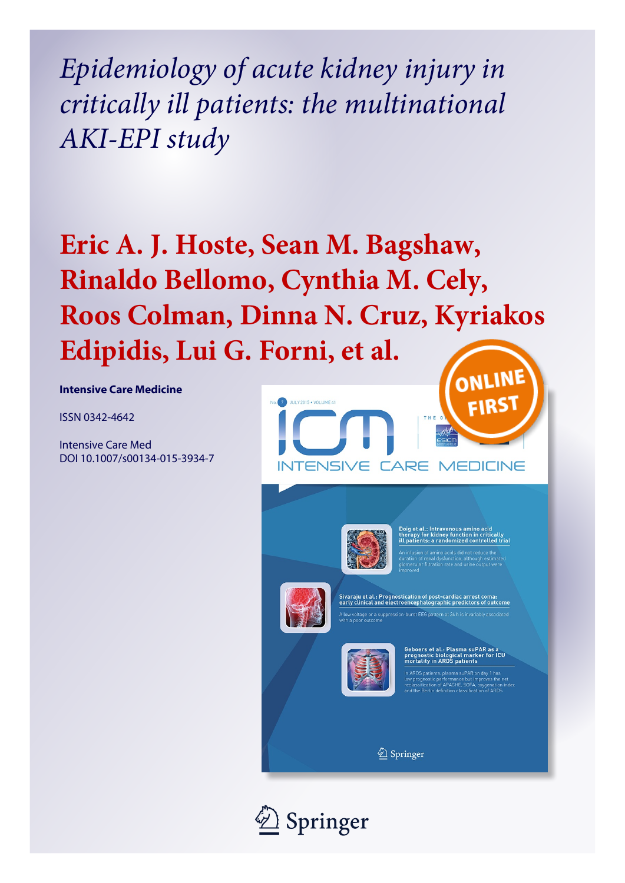*Epidemiology of acute kidney injury in critically ill patients: the multinational AKI-EPI study*

# **Eric A. J. Hoste, Sean M. Bagshaw, Rinaldo Bellomo, Cynthia M. Cely, Roos Colman, Dinna N. Cruz, Kyriakos Edipidis, Lui G. Forni, et al.**

**Intensive Care Medicine**

ISSN 0342-4642

Intensive Care Med DOI 10.1007/s00134-015-3934-7





therapy for kidney function in critically<br>ill patients: a randomized controlled trial



aju et al.: Prognostication of post-cardiac arre<br>clinical and electroencephalographic predicto



oers et al.: Plasma suPAR as a<br>gnostic biological marker for ICU<br>tality in ARDS patients

patients, plasma suPAR on day 1 has<br>inostic performance but improves the net<br>fication of APACHE, SOFA, oxygenation inc<br>Berlin definition classification of ARDS

2 Springer

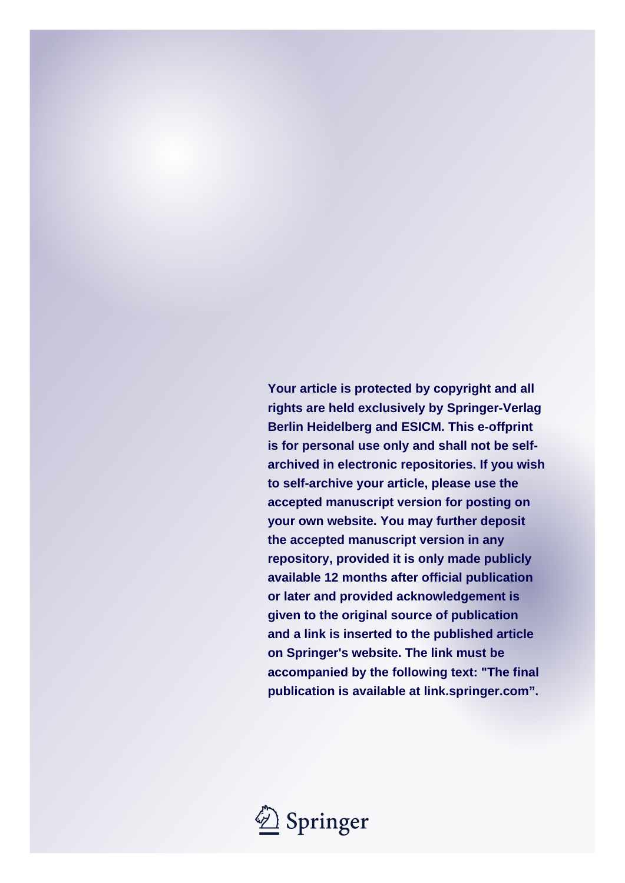**Your article is protected by copyright and all rights are held exclusively by Springer-Verlag Berlin Heidelberg and ESICM. This e-offprint is for personal use only and shall not be selfarchived in electronic repositories. If you wish to self-archive your article, please use the accepted manuscript version for posting on your own website. You may further deposit the accepted manuscript version in any repository, provided it is only made publicly available 12 months after official publication or later and provided acknowledgement is given to the original source of publication and a link is inserted to the published article on Springer's website. The link must be accompanied by the following text: "The final publication is available at link.springer.com".**

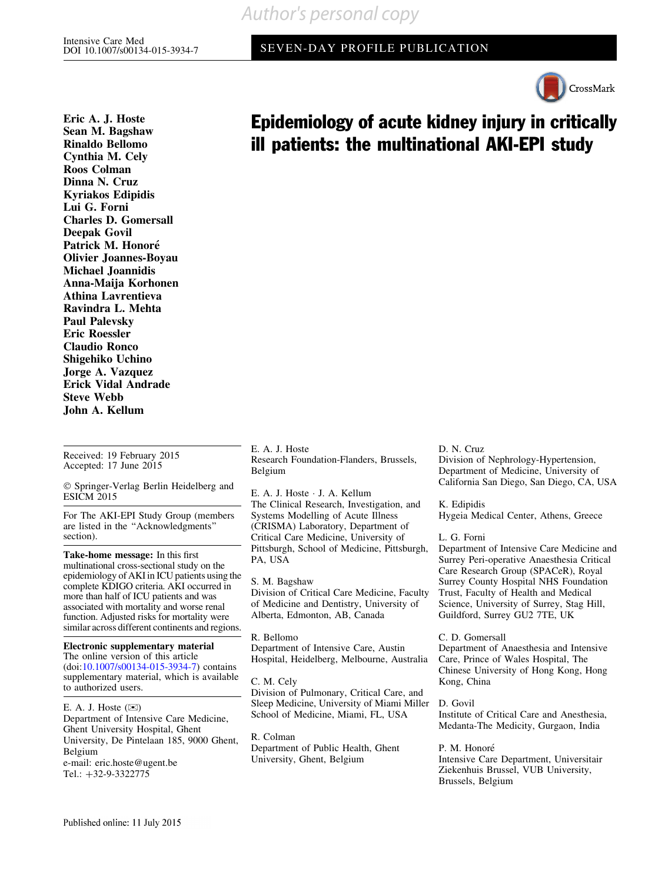SEVEN-DAY PROFILE PUBLICATION



Eric A. J. Hoste Sean M. Bagshaw Rinaldo Bellomo Cynthia M. Cely Roos Colman Dinna N. Cruz Kyriakos Edipidis Lui G. Forni Charles D. Gomersall Deepak Govil Patrick M. Honoré Olivier Joannes-Boyau Michael Joannidis Anna-Maija Korhonen Athina Lavrentieva Ravindra L. Mehta Paul Palevsky Eric Roessler Claudio Ronco Shigehiko Uchino Jorge A. Vazquez Erick Vidal Andrade Steve Webb John A. Kellum

Received: 19 February 2015 Accepted: 17 June 2015

- Springer-Verlag Berlin Heidelberg and ESICM 2015

For The AKI-EPI Study Group (members are listed in the ''Acknowledgments'' section).

Take-home message: In this first multinational cross-sectional study on the epidemiology of AKI in ICU patients using the complete KDIGO criteria. AKI occurred in more than half of ICU patients and was associated with mortality and worse renal function. Adjusted risks for mortality were similar across different continents and regions.

Electronic supplementary material The online version of this article (doi:[10.1007/s00134-015-3934-7](http://dx.doi.org/10.1007/s00134-015-3934-7)) contains supplementary material, which is available to authorized users.

E. A. J. Hoste  $(\boxtimes)$ Department of Intensive Care Medicine, Ghent University Hospital, Ghent University, De Pintelaan 185, 9000 Ghent, Belgium e-mail: eric.hoste@ugent.be Tel.: +32-9-3322775

E. A. J. Hoste Research Foundation-Flanders, Brussels, Belgium

E. A. J. Hoste - J. A. Kellum The Clinical Research, Investigation, and Systems Modelling of Acute Illness (CRISMA) Laboratory, Department of Critical Care Medicine, University of Pittsburgh, School of Medicine, Pittsburgh, PA, USA

S. M. Bagshaw Division of Critical Care Medicine, Faculty of Medicine and Dentistry, University of Alberta, Edmonton, AB, Canada

R. Bellomo Department of Intensive Care, Austin Hospital, Heidelberg, Melbourne, Australia

C. M. Cely Division of Pulmonary, Critical Care, and Sleep Medicine, University of Miami Miller School of Medicine, Miami, FL, USA

R. Colman Department of Public Health, Ghent University, Ghent, Belgium

#### D. N. Cruz Division of Nephrology-Hypertension, Department of Medicine, University of

California San Diego, San Diego, CA, USA

K. Edipidis Hygeia Medical Center, Athens, Greece

L. G. Forni

Epidemiology of acute kidney injury in critically

ill patients: the multinational AKI-EPI study

Department of Intensive Care Medicine and Surrey Peri-operative Anaesthesia Critical Care Research Group (SPACeR), Royal Surrey County Hospital NHS Foundation Trust, Faculty of Health and Medical Science, University of Surrey, Stag Hill, Guildford, Surrey GU2 7TE, UK

C. D. Gomersall Department of Anaesthesia and Intensive Care, Prince of Wales Hospital, The Chinese University of Hong Kong, Hong Kong, China

D. Govil Institute of Critical Care and Anesthesia, Medanta-The Medicity, Gurgaon, India

P. M. Honoré Intensive Care Department, Universitair Ziekenhuis Brussel, VUB University, Brussels, Belgium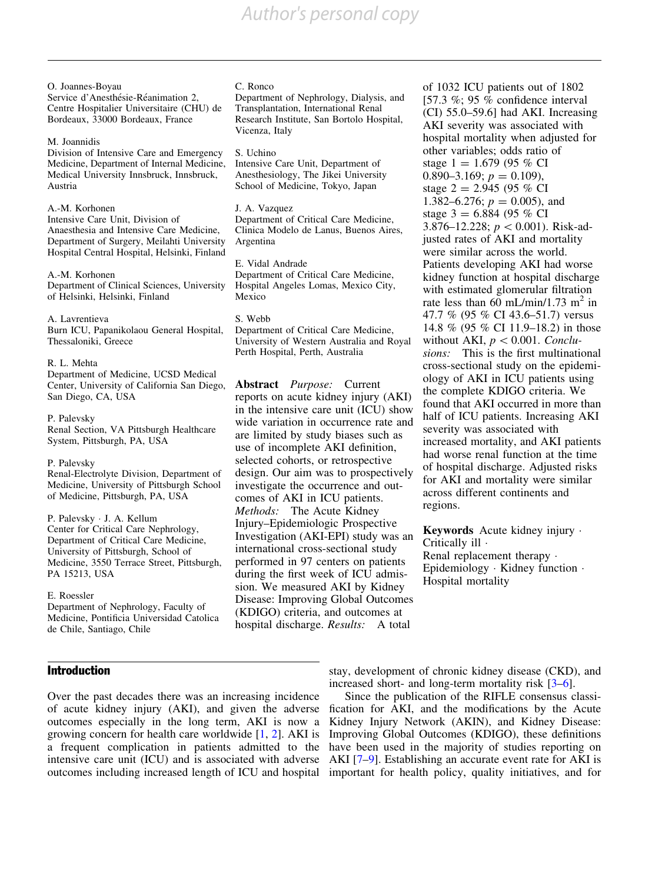#### O. Joannes-Boyau

Service d'Anesthésie-Réanimation 2, Centre Hospitalier Universitaire (CHU) de Bordeaux, 33000 Bordeaux, France

#### M. Joannidis

Division of Intensive Care and Emergency Medicine, Department of Internal Medicine, Medical University Innsbruck, Innsbruck, Austria

#### A.-M. Korhonen

Intensive Care Unit, Division of Anaesthesia and Intensive Care Medicine, Department of Surgery, Meilahti University Hospital Central Hospital, Helsinki, Finland

A.-M. Korhonen Department of Clinical Sciences, University of Helsinki, Helsinki, Finland

#### A. Lavrentieva

Burn ICU, Papanikolaou General Hospital, Thessaloniki, Greece

#### R. L. Mehta

Department of Medicine, UCSD Medical Center, University of California San Diego, San Diego, CA, USA

P. Palevsky Renal Section, VA Pittsburgh Healthcare System, Pittsburgh, PA, USA

## P. Palevsky

Renal-Electrolyte Division, Department of Medicine, University of Pittsburgh School of Medicine, Pittsburgh, PA, USA

P. Palevsky - J. A. Kellum Center for Critical Care Nephrology, Department of Critical Care Medicine, University of Pittsburgh, School of Medicine, 3550 Terrace Street, Pittsburgh, PA 15213, USA

## E. Roessler

Department of Nephrology, Faculty of Medicine, Pontificia Universidad Catolica de Chile, Santiago, Chile

# Introduction

Over the past decades there was an increasing incidence of acute kidney injury (AKI), and given the adverse outcomes especially in the long term, AKI is now a growing concern for health care worldwide [\[1,](#page-12-0) [2\]](#page-12-0). AKI is a frequent complication in patients admitted to the intensive care unit (ICU) and is associated with adverse outcomes including increased length of ICU and hospital

#### C. Ronco

Department of Nephrology, Dialysis, and Transplantation, International Renal Research Institute, San Bortolo Hospital, Vicenza, Italy

## S. Uchino

Intensive Care Unit, Department of Anesthesiology, The Jikei University School of Medicine, Tokyo, Japan

## J. A. Vazquez

Department of Critical Care Medicine, Clinica Modelo de Lanus, Buenos Aires, Argentina

E. Vidal Andrade Department of Critical Care Medicine, Hospital Angeles Lomas, Mexico City, Mexico

#### S. Webb Department of Critical Care Medicine, University of Western Australia and Royal Perth Hospital, Perth, Australia

Abstract Purpose: Current reports on acute kidney injury (AKI) in the intensive care unit (ICU) show wide variation in occurrence rate and are limited by study biases such as use of incomplete AKI definition, selected cohorts, or retrospective design. Our aim was to prospectively investigate the occurrence and outcomes of AKI in ICU patients. Methods: The Acute Kidney Injury–Epidemiologic Prospective Investigation (AKI-EPI) study was an international cross-sectional study performed in 97 centers on patients during the first week of ICU admission. We measured AKI by Kidney Disease: Improving Global Outcomes (KDIGO) criteria, and outcomes at hospital discharge. Results: A total

of 1032 ICU patients out of 1802 [57.3 %; 95 % confidence interval (CI) 55.0–59.6] had AKI. Increasing AKI severity was associated with hospital mortality when adjusted for other variables; odds ratio of stage  $1 = 1.679$  (95 % CI 0.890–3.169;  $p = 0.109$ ), stage  $2 = 2.945$  (95 % CI 1.382–6.276;  $p = 0.005$ ), and stage  $3 = 6.884$  (95 % CI) 3.876–12.228;  $p < 0.001$ ). Risk-adjusted rates of AKI and mortality were similar across the world. Patients developing AKI had worse kidney function at hospital discharge with estimated glomerular filtration rate less than 60 mL/min/1.73 m<sup>2</sup> in 47.7 % (95 % CI 43.6–51.7) versus 14.8 % (95 % CI 11.9–18.2) in those without AKI,  $p < 0.001$ . Conclusions: This is the first multinational cross-sectional study on the epidemiology of AKI in ICU patients using the complete KDIGO criteria. We found that AKI occurred in more than half of ICU patients. Increasing AKI severity was associated with increased mortality, and AKI patients had worse renal function at the time of hospital discharge. Adjusted risks for AKI and mortality were similar across different continents and regions.

Keywords Acute kidney injury . Critically ill - Renal replacement therapy  $\cdot$ Epidemiology · Kidney function · Hospital mortality

stay, development of chronic kidney disease (CKD), and increased short- and long-term mortality risk [[3–6\]](#page-12-0).

Since the publication of the RIFLE consensus classification for AKI, and the modifications by the Acute Kidney Injury Network (AKIN), and Kidney Disease: Improving Global Outcomes (KDIGO), these definitions have been used in the majority of studies reporting on AKI [[7](#page-12-0)[–9](#page-13-0)]. Establishing an accurate event rate for AKI is important for health policy, quality initiatives, and for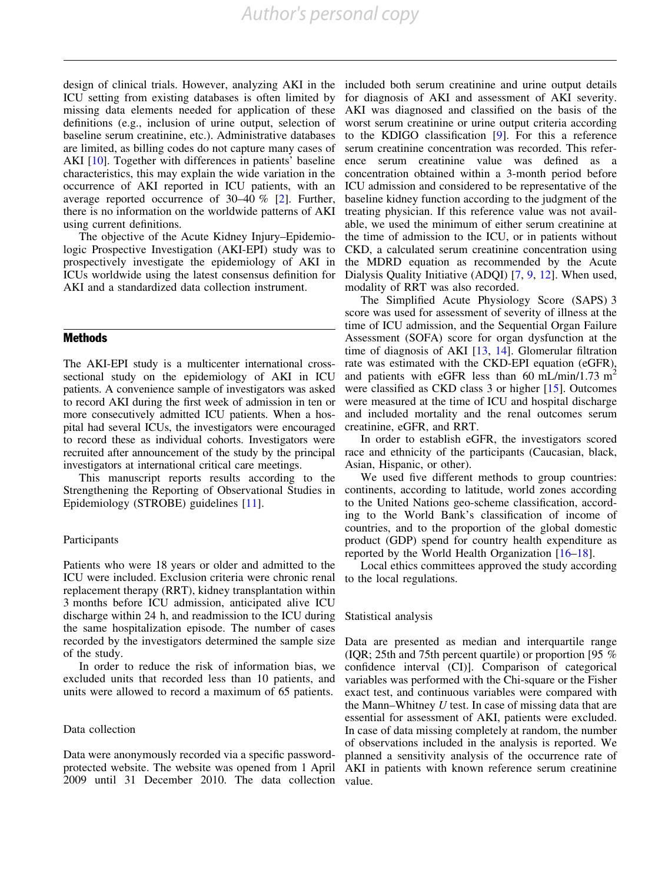design of clinical trials. However, analyzing AKI in the ICU setting from existing databases is often limited by missing data elements needed for application of these definitions (e.g., inclusion of urine output, selection of baseline serum creatinine, etc.). Administrative databases are limited, as billing codes do not capture many cases of AKI [\[10](#page-13-0)]. Together with differences in patients' baseline characteristics, this may explain the wide variation in the occurrence of AKI reported in ICU patients, with an average reported occurrence of 30–40 % [[2](#page-12-0)]. Further, there is no information on the worldwide patterns of AKI using current definitions.

The objective of the Acute Kidney Injury–Epidemiologic Prospective Investigation (AKI-EPI) study was to prospectively investigate the epidemiology of AKI in ICUs worldwide using the latest consensus definition for AKI and a standardized data collection instrument.

#### Methods

The AKI-EPI study is a multicenter international crosssectional study on the epidemiology of AKI in ICU patients. A convenience sample of investigators was asked to record AKI during the first week of admission in ten or more consecutively admitted ICU patients. When a hospital had several ICUs, the investigators were encouraged to record these as individual cohorts. Investigators were recruited after announcement of the study by the principal investigators at international critical care meetings.

This manuscript reports results according to the Strengthening the Reporting of Observational Studies in Epidemiology (STROBE) guidelines [\[11\]](#page-13-0).

#### Participants

Patients who were 18 years or older and admitted to the ICU were included. Exclusion criteria were chronic renal replacement therapy (RRT), kidney transplantation within 3 months before ICU admission, anticipated alive ICU discharge within 24 h, and readmission to the ICU during the same hospitalization episode. The number of cases recorded by the investigators determined the sample size of the study.

In order to reduce the risk of information bias, we excluded units that recorded less than 10 patients, and units were allowed to record a maximum of 65 patients.

#### Data collection

Data were anonymously recorded via a specific passwordprotected website. The website was opened from 1 April 2009 until 31 December 2010. The data collection

included both serum creatinine and urine output details for diagnosis of AKI and assessment of AKI severity. AKI was diagnosed and classified on the basis of the worst serum creatinine or urine output criteria according to the KDIGO classification [[9](#page-13-0)]. For this a reference serum creatinine concentration was recorded. This reference serum creatinine value was defined as a concentration obtained within a 3-month period before ICU admission and considered to be representative of the baseline kidney function according to the judgment of the treating physician. If this reference value was not available, we used the minimum of either serum creatinine at the time of admission to the ICU, or in patients without CKD, a calculated serum creatinine concentration using the MDRD equation as recommended by the Acute Dialysis Quality Initiative (ADQI) [\[7,](#page-12-0) [9,](#page-13-0) [12\]](#page-13-0). When used, modality of RRT was also recorded.

The Simplified Acute Physiology Score (SAPS) 3 score was used for assessment of severity of illness at the time of ICU admission, and the Sequential Organ Failure Assessment (SOFA) score for organ dysfunction at the time of diagnosis of AKI [[13](#page-13-0), [14](#page-13-0)]. Glomerular filtration rate was estimated with the CKD-EPI equation (eGFR), and patients with eGFR less than 60 mL/min/1.73 m<sup>2</sup> were classified as CKD class 3 or higher [\[15\]](#page-13-0). Outcomes were measured at the time of ICU and hospital discharge and included mortality and the renal outcomes serum creatinine, eGFR, and RRT.

In order to establish eGFR, the investigators scored race and ethnicity of the participants (Caucasian, black, Asian, Hispanic, or other).

We used five different methods to group countries: continents, according to latitude, world zones according to the United Nations geo-scheme classification, according to the World Bank's classification of income of countries, and to the proportion of the global domestic product (GDP) spend for country health expenditure as reported by the World Health Organization [\[16–18](#page-13-0)].

Local ethics committees approved the study according to the local regulations.

#### Statistical analysis

Data are presented as median and interquartile range (IQR; 25th and 75th percent quartile) or proportion [95 % confidence interval (CI)]. Comparison of categorical variables was performed with the Chi-square or the Fisher exact test, and continuous variables were compared with the Mann–Whitney  $U$  test. In case of missing data that are essential for assessment of AKI, patients were excluded. In case of data missing completely at random, the number of observations included in the analysis is reported. We planned a sensitivity analysis of the occurrence rate of AKI in patients with known reference serum creatinine value.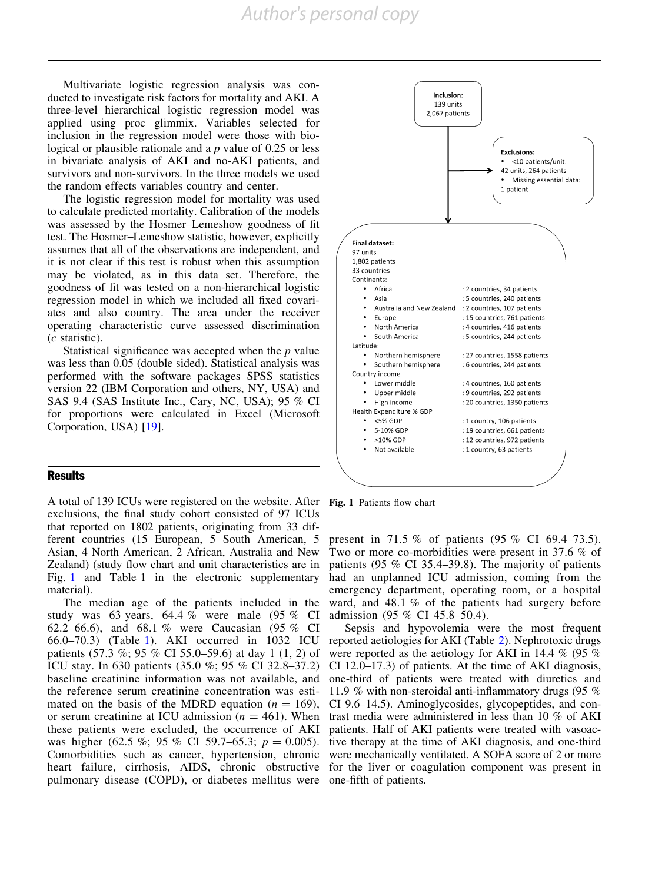Multivariate logistic regression analysis was conducted to investigate risk factors for mortality and AKI. A three-level hierarchical logistic regression model was applied using proc glimmix. Variables selected for inclusion in the regression model were those with biological or plausible rationale and a  $p$  value of 0.25 or less in bivariate analysis of AKI and no-AKI patients, and survivors and non-survivors. In the three models we used the random effects variables country and center.

The logistic regression model for mortality was used to calculate predicted mortality. Calibration of the models was assessed by the Hosmer–Lemeshow goodness of fit test. The Hosmer–Lemeshow statistic, however, explicitly assumes that all of the observations are independent, and it is not clear if this test is robust when this assumption may be violated, as in this data set. Therefore, the goodness of fit was tested on a non-hierarchical logistic regression model in which we included all fixed covariates and also country. The area under the receiver operating characteristic curve assessed discrimination (c statistic).

Statistical significance was accepted when the  $p$  value was less than 0.05 (double sided). Statistical analysis was performed with the software packages SPSS statistics version 22 (IBM Corporation and others, NY, USA) and SAS 9.4 (SAS Institute Inc., Cary, NC, USA); 95 % CI for proportions were calculated in Excel (Microsoft Corporation, USA) [\[19\]](#page-13-0).

# **Results**

A total of 139 ICUs were registered on the website. After Fig. 1 Patients flow chart exclusions, the final study cohort consisted of 97 ICUs that reported on 1802 patients, originating from 33 different countries (15 European, 5 South American, 5 Asian, 4 North American, 2 African, Australia and New Zealand) (study flow chart and unit characteristics are in Fig. 1 and Table 1 in the electronic supplementary material).

The median age of the patients included in the study was 63 years, 64.4 % were male (95 % CI 62.2–66.6), and 68.1 % were Caucasian (95 % CI 66.0–70.3) (Table [1](#page-6-0)). AKI occurred in 1032 ICU patients (57.3 %; 95 % CI 55.0–59.6) at day 1 (1, 2) of ICU stay. In 630 patients (35.0 %; 95 % CI 32.8–37.2) baseline creatinine information was not available, and the reference serum creatinine concentration was estimated on the basis of the MDRD equation ( $n = 169$ ), or serum creatinine at ICU admission ( $n = 461$ ). When these patients were excluded, the occurrence of AKI was higher (62.5 %; 95 % CI 59.7–65.3;  $p = 0.005$ ). Comorbidities such as cancer, hypertension, chronic heart failure, cirrhosis, AIDS, chronic obstructive for the liver or coagulation component was present in pulmonary disease (COPD), or diabetes mellitus were one-fifth of patients.



present in 71.5 % of patients (95 % CI 69.4–73.5). Two or more co-morbidities were present in 37.6 % of patients (95 % CI 35.4–39.8). The majority of patients had an unplanned ICU admission, coming from the emergency department, operating room, or a hospital ward, and 48.1 % of the patients had surgery before admission (95 % CI 45.8–50.4).

Sepsis and hypovolemia were the most frequent reported aetiologies for AKI (Table [2\)](#page-8-0). Nephrotoxic drugs were reported as the aetiology for AKI in 14.4 % (95 % CI 12.0–17.3) of patients. At the time of AKI diagnosis, one-third of patients were treated with diuretics and 11.9 % with non-steroidal anti-inflammatory drugs (95 % CI 9.6–14.5). Aminoglycosides, glycopeptides, and contrast media were administered in less than 10 % of AKI patients. Half of AKI patients were treated with vasoactive therapy at the time of AKI diagnosis, and one-third were mechanically ventilated. A SOFA score of 2 or more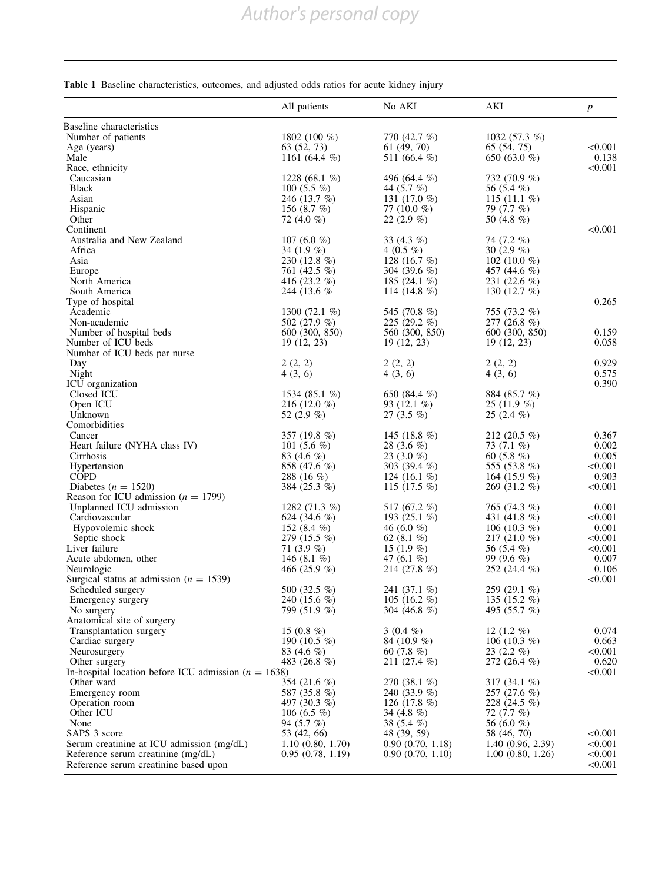# <span id="page-6-0"></span>Table 1 Baseline characteristics, outcomes, and adjusted odds ratios for acute kidney injury

|                                                                        | All patients                  | No AKI                          | AKI                           | $\boldsymbol{p}$ |
|------------------------------------------------------------------------|-------------------------------|---------------------------------|-------------------------------|------------------|
| Baseline characteristics                                               |                               |                                 |                               |                  |
| Number of patients                                                     | 1802 (100 $%$ )               | 770 (42.7 %)                    | 1032 $(57.3\%)$               |                  |
| Age (years)                                                            | 63 (52, 73)                   | 61 (49, 70)                     | 65 (54, 75)                   | < 0.001          |
| Male                                                                   | 1161 $(64.4\%)$               | 511 (66.4 %)                    | 650 (63.0 %)                  | 0.138            |
| Race, ethnicity                                                        |                               |                                 |                               | < 0.001          |
| Caucasian<br><b>Black</b>                                              | 1228 (68.1 $%$ )              | 496 (64.4 %)                    | 732 (70.9 %)                  |                  |
| Asian                                                                  | 100 $(5.5\%$<br>246 (13.7 %)  | 44 (5.7 %)<br>131 $(17.0\%$     | 56 (5.4 %)<br>115 $(11.1 \%)$ |                  |
| Hispanic                                                               | 156 $(8.7\%)$                 | 77 $(10.0\%$                    | 79 (7.7 %)                    |                  |
| Other                                                                  | 72 (4.0 %)                    | $22(2.9\%)$                     | 50 (4.8 %)                    |                  |
| Continent                                                              |                               |                                 |                               | < 0.001          |
| Australia and New Zealand                                              | 107 (6.0 %)                   | 33 $(4.3\%)$                    | 74 (7.2 %)                    |                  |
| Africa                                                                 | 34 $(1.9\%)$                  | 4 $(0.5 \%)$                    | 30 $(2.9\%$                   |                  |
| Asia                                                                   | 230 (12.8 %)                  | 128 (16.7 $%$ )                 | 102 (10.0 $%$ )               |                  |
| Europe                                                                 | 761 (42.5 %)                  | 304 (39.6 %)                    | 457 (44.6 %)                  |                  |
| North America                                                          | 416 $(23.2\%$                 | 185 $(24.1\%$                   | 231 $(22.6 \%)$               |                  |
| South America                                                          | 244 (13.6 %)                  | 114 (14.8 %)                    | 130 $(12.7 \%)$               |                  |
| Type of hospital<br>Academic                                           | 1300 $(72.1\%$                | 545 (70.8 %)                    | 755 (73.2 %)                  | 0.265            |
| Non-academic                                                           | 502 (27.9 %)                  | 225 $(29.2\%$                   | 277 (26.8 %)                  |                  |
| Number of hospital beds                                                | 600 (300, 850)                | 560 (300, 850)                  | 600 (300, 850)                | 0.159            |
| Number of ICU beds                                                     | 19(12, 23)                    | 19(12, 23)                      | 19(12, 23)                    | 0.058            |
| Number of ICU beds per nurse                                           |                               |                                 |                               |                  |
| Day                                                                    | 2(2, 2)                       | 2(2, 2)                         | 2(2, 2)                       | 0.929            |
| Night                                                                  | 4(3, 6)                       | 4(3, 6)                         | 4(3, 6)                       | 0.575            |
| ICU organization                                                       |                               |                                 |                               | 0.390            |
| Closed ICU                                                             | 1534 (85.1 $%$ )              | 650 (84.4 %)                    | 884 (85.7 %)                  |                  |
| Open ICU                                                               | 216 (12.0 $%$ )               | 93 $(12.1\%)$                   | $25(11.9\%)$                  |                  |
| Unknown                                                                | 52 $(2.9\%)$                  | 27 $(3.5\%)$                    | $25(2.4\%)$                   |                  |
| Comorbidities                                                          |                               |                                 |                               |                  |
| Cancer<br>Heart failure (NYHA class IV)                                | 357 (19.8 %)<br>101 $(5.6\%)$ | 145 (18.8 $%$ )<br>28 $(3.6\%)$ | $212(20.5\%)$<br>73 $(7.1\%)$ | 0.367<br>0.002   |
| Cirrhosis                                                              | 83 $(4.6\%$                   | 23 $(3.0\%$                     | 60 $(5.8\%)$                  | 0.005            |
| Hypertension                                                           | 858 (47.6 %)                  | 303 (39.4 $%$ )                 | 555 (53.8 %)                  | < 0.001          |
| <b>COPD</b>                                                            | 288 (16 $%$ )                 | 124 (16.1 $%$ )                 | 164 (15.9 %)                  | 0.903            |
| Diabetes ( $n = 1520$ )                                                | 384 (25.3 %)                  | 115 (17.5 $%$ )                 | 269 (31.2 %)                  | < 0.001          |
| Reason for ICU admission ( $n = 1799$ )                                |                               |                                 |                               |                  |
| Unplanned ICU admission                                                | 1282 $(71.3\%)$               | 517 (67.2 %)                    | 765 (74.3 %)                  | 0.001            |
| Cardiovascular                                                         | 624 (34.6 %)                  | 193 $(25.1\%)$                  | 431 (41.8 %)                  | < 0.001          |
| Hypovolemic shock                                                      | 152 $(8.4\%)$                 | 46 (6.0 %)                      | 106 (10.3 $%$ )               | 0.001            |
| Septic shock                                                           | 279 (15.5 %)                  | 62 $(8.1\%)$                    | 217 $(21.0\%$                 | < 0.001          |
| Liver failure                                                          | 71 $(3.9\%)$<br>146 $(8.1\%)$ | 15 $(1.9\%)$<br>47 $(6.1\%$     | 56 (5.4 %)<br>99 $(9.6\%$     | < 0.001<br>0.007 |
| Acute abdomen, other<br>Neurologic                                     | 466 $(25.9\%$                 | 214 (27.8 %)                    | 252 (24.4 %)                  | 0.106            |
| Surgical status at admission ( $n = 1539$ )                            |                               |                                 |                               | < 0.001          |
| Scheduled surgery                                                      | 500 (32.5 %)                  | 241 (37.1 %)                    | 259 (29.1 %)                  |                  |
| Emergency surgery                                                      | 240 (15.6 %)                  | 105 (16.2 $%$ )                 | 135 $(15.2\%$                 |                  |
| No surgery                                                             | 799 (51.9 %)                  | 304 (46.8 $%$ )                 | 495 (55.7 %)                  |                  |
| Anatomical site of surgery                                             |                               |                                 |                               |                  |
| Transplantation surgery                                                | 15 $(0.8\%)$                  | 3 $(0.4\%)$                     | 12 $(1.2 \%)$                 | 0.074            |
| Cardiac surgery                                                        | 190 (10.5 $%$ )               | 84 (10.9 %)                     | 106 (10.3 $%$ )               | 0.663            |
| Neurosurgery                                                           | 83 $(4.6\%$                   | 60 $(7.8\%)$                    | 23 $(2.2\%)$                  | < 0.001          |
| Other surgery                                                          | 483 (26.8 %)                  | $211(27.4\%)$                   | 272 (26.4 %)                  | 0.620            |
| In-hospital location before ICU admission ( $n = 1638$ )<br>Other ward |                               | 270 $(38.1\%)$                  | 317 $(34.1\%)$                | < 0.001          |
| Emergency room                                                         | 354 (21.6 %)<br>587 (35.8 %)  | 240 (33.9 %)                    | $257(27.6\%)$                 |                  |
| Operation room                                                         | 497 (30.3 %)                  | 126 (17.8 $%$ )                 | 228 (24.5 %)                  |                  |
| Other ICU                                                              | 106 (6.5 %)                   | 34 $(4.8\%)$                    | 72 (7.7 %)                    |                  |
| None                                                                   | 94 $(5.7\%)$                  | 38 $(5.4\%)$                    | 56 (6.0 %)                    |                  |
| SAPS 3 score                                                           | 53 (42, 66)                   | 48 (39, 59)                     | 58 (46, 70)                   | < 0.001          |
| Serum creatinine at ICU admission (mg/dL)                              | 1.10(0.80, 1.70)              | 0.90(0.70, 1.18)                | 1.40(0.96, 2.39)              | < 0.001          |
| Reference serum creatinine (mg/dL)                                     | 0.95(0.78, 1.19)              | 0.90(0.70, 1.10)                | 1.00(0.80, 1.26)              | < 0.001          |
| Reference serum creatinine based upon                                  |                               |                                 |                               | < 0.001          |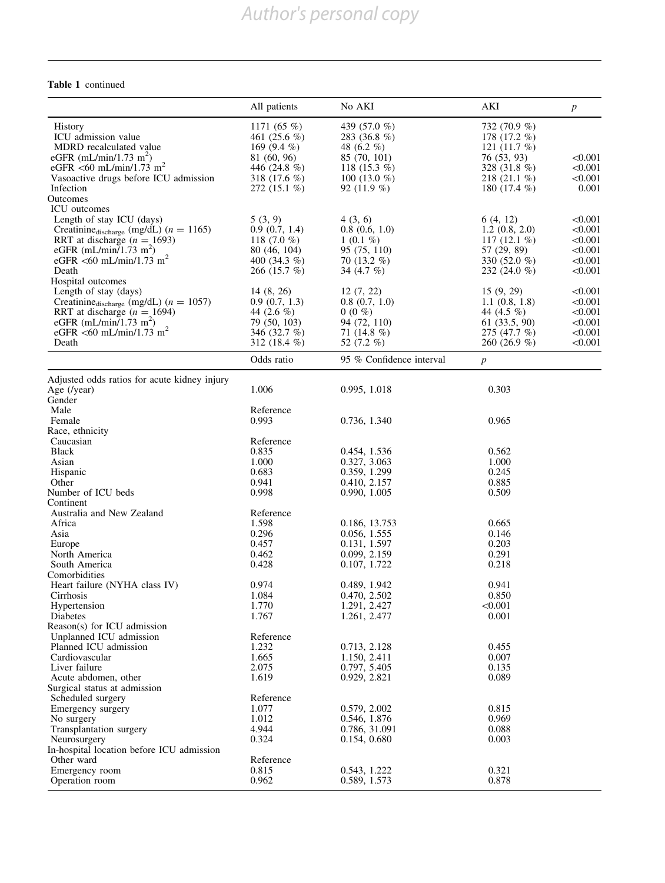# Table 1 continued

|                                                         | All patients               | No AKI                                  | AKI                | $\boldsymbol{p}$ |
|---------------------------------------------------------|----------------------------|-----------------------------------------|--------------------|------------------|
| <b>History</b>                                          | 1171 $(65 \%)$             | 439 (57.0 %)                            | 732 (70.9 %)       |                  |
| ICU admission value                                     | 461 $(25.6\%)$             | 283 (36.8 %)                            | 178 (17.2 %)       |                  |
| MDRD recalculated value                                 | 169 (9.4 $%$ )             | 48 $(6.2\%$                             | 121 $(11.7 \%)$    |                  |
| eGFR (mL/min/1.73 m <sup>2</sup> )                      | 81 (60, 96)                | 85 (70, 101)                            | 76 (53, 93)        | < 0.001          |
| eGFR <60 mL/min/1.73 m <sup>2</sup>                     | 446 (24.8 %)               | 118 (15.3 $%$ )                         | 328 (31.8 %)       | < 0.001          |
| Vasoactive drugs before ICU admission                   | 318 (17.6 %)               | 100 (13.0 $%$ )                         | 218 $(21.1\%)$     | < 0.001          |
| Infection                                               | 272 (15.1 %)               | 92 $(11.9\%)$                           | 180 $(17.4\%$      | 0.001            |
| Outcomes<br><b>ICU</b> outcomes                         |                            |                                         |                    |                  |
| Length of stay ICU (days)                               | 5(3, 9)                    | 4(3, 6)                                 | 6(4, 12)           | < 0.001          |
| Creatinine <sub>discharge</sub> (mg/dL) ( $n = 1165$ )  | 0.9(0.7, 1.4)              | 0.8(0.6, 1.0)                           | 1.2(0.8, 2.0)      | < 0.001          |
| RRT at discharge $(n = 1693)$                           | 118 $(7.0\%$               | $1(0.1\%)$                              | 117 $(12.1 \%)$    | < 0.001          |
| eGFR (mL/min/1.73 m <sup>2</sup> )                      | 80 (46, 104)               | 95 (75, 110)                            | 57 (29, 89)        | < 0.001          |
| eGFR <60 mL/min/1.73 m <sup>2</sup>                     | 400 (34.3 $%$ )            | 70 $(13.2\%)$                           | 330 (52.0 %)       | < 0.001          |
| Death                                                   | 266 $(15.7\%$              | 34 $(4.7\%)$                            | 232 $(24.0\%$      | < 0.001          |
| Hospital outcomes                                       |                            |                                         |                    |                  |
| Length of stay (days)                                   | 14(8, 26)                  | 12(7, 22)                               | 15(9, 29)          | < 0.001          |
| Creatinine <sub>discharge</sub> (mg/dL) ( $n = 1057$ )  | 0.9(0.7, 1.3)              | 0.8(0.7, 1.0)                           | $1.1$ $(0.8, 1.8)$ | < 0.001          |
| RRT at discharge $(n = 1694)$                           | 44 $(2.6\%$                | $0(0\%)$                                | 44 (4.5 %)         | < 0.001          |
| eGFR (mL/min/1.73 m <sup>2</sup> )                      | 79 (50, 103)               | 94 (72, 110)                            | $61$ $(33.5, 90)$  | < 0.001          |
| eGFR <60 mL/min/1.73 m <sup>2</sup>                     | 346 (32.7 %)               | 71 $(14.8\%)$                           | 275 (47.7 %)       | < 0.001          |
| Death                                                   | 312 (18.4 %)<br>Odds ratio | 52 $(7.2\%$<br>95 % Confidence interval | 260 (26.9 %)       | < 0.001          |
|                                                         |                            |                                         | $\boldsymbol{p}$   |                  |
| Adjusted odds ratios for acute kidney injury            | 1.006                      | 0.995, 1.018                            | 0.303              |                  |
| Age (/year)<br>Gender                                   |                            |                                         |                    |                  |
| Male                                                    | Reference                  |                                         |                    |                  |
| Female                                                  | 0.993                      | 0.736, 1.340                            | 0.965              |                  |
| Race, ethnicity                                         |                            |                                         |                    |                  |
| Caucasian                                               | Reference                  |                                         |                    |                  |
| <b>Black</b>                                            | 0.835                      | 0.454, 1.536                            | 0.562              |                  |
| Asian                                                   | 1.000                      | 0.327, 3.063                            | 1.000              |                  |
| Hispanic                                                | 0.683                      | 0.359, 1.299                            | 0.245              |                  |
| Other                                                   | 0.941                      | 0.410, 2.157                            | 0.885              |                  |
| Number of ICU beds                                      | 0.998                      | 0.990, 1.005                            | 0.509              |                  |
| Continent                                               |                            |                                         |                    |                  |
| Australia and New Zealand                               | Reference                  |                                         |                    |                  |
| Africa                                                  | 1.598                      | 0.186, 13.753                           | 0.665              |                  |
| Asia                                                    | 0.296                      | 0.056, 1.555                            | 0.146              |                  |
| Europe                                                  | 0.457                      | 0.131, 1.597                            | 0.203              |                  |
| North America                                           | 0.462                      | 0.099, 2.159                            | 0.291              |                  |
| South America                                           | 0.428                      | 0.107, 1.722                            | 0.218              |                  |
| Comorbidities                                           |                            | 0.489, 1.942                            |                    |                  |
| Heart failure (NYHA class IV)<br>Cirrhosis              | 0.974<br>1.084             | 0.470, 2.502                            | 0.941<br>0.850     |                  |
| Hypertension                                            | 1.770                      | 1.291, 2.427                            | < 0.001            |                  |
| Diabetes                                                | 1.767                      | 1.261, 2.477                            | 0.001              |                  |
| Reason(s) for ICU admission                             |                            |                                         |                    |                  |
| Unplanned ICU admission                                 | Reference                  |                                         |                    |                  |
| Planned ICU admission                                   | 1.232                      | 0.713, 2.128                            | 0.455              |                  |
| Cardiovascular                                          | 1.665                      | 1.150, 2.411                            | 0.007              |                  |
| Liver failure                                           | 2.075                      | 0.797, 5.405                            | 0.135              |                  |
| Acute abdomen, other                                    | 1.619                      | 0.929, 2.821                            | 0.089              |                  |
| Surgical status at admission                            |                            |                                         |                    |                  |
| Scheduled surgery                                       | Reference                  |                                         |                    |                  |
| Emergency surgery                                       | 1.077                      | 0.579, 2.002                            | 0.815              |                  |
| No surgery                                              | 1.012                      | 0.546, 1.876                            | 0.969              |                  |
| Transplantation surgery                                 | 4.944                      | 0.786, 31.091                           | 0.088              |                  |
| Neurosurgery                                            | 0.324                      | 0.154, 0.680                            | 0.003              |                  |
| In-hospital location before ICU admission<br>Other ward | Reference                  |                                         |                    |                  |
| Emergency room                                          | 0.815                      | 0.543, 1.222                            | 0.321              |                  |
| Operation room                                          | 0.962                      | 0.589, 1.573                            | 0.878              |                  |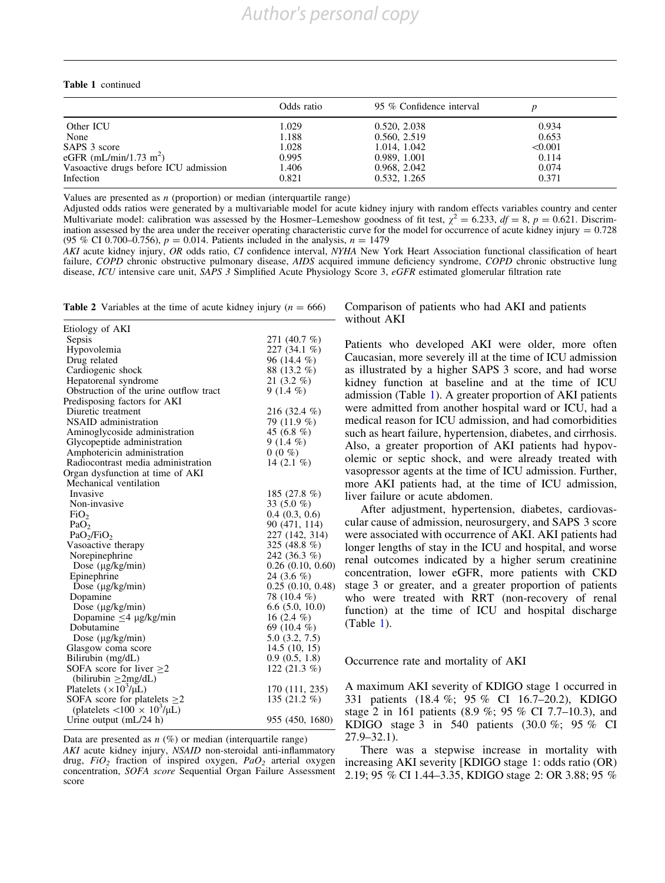#### <span id="page-8-0"></span>Table 1 continued

|                                       | Odds ratio | 95 % Confidence interval |         |
|---------------------------------------|------------|--------------------------|---------|
| Other ICU                             | 1.029      | 0.520, 2.038             | 0.934   |
| None                                  | 1.188      | 0.560, 2.519             | 0.653   |
| SAPS 3 score                          | 1.028      | 1.014, 1.042             | < 0.001 |
| eGFR (mL/min/1.73 m <sup>2</sup> )    | 0.995      | 0.989, 1.001             | 0.114   |
| Vasoactive drugs before ICU admission | 1.406      | 0.968, 2.042             | 0.074   |
| Infection                             | 0.821      | 0.532, 1.265             | 0.371   |

Values are presented as  $n$  (proportion) or median (interquartile range)

Adjusted odds ratios were generated by a multivariable model for acute kidney injury with random effects variables country and center Multivariate model: calibration was assessed by the Hosmer–Lemeshow goodness of fit test,  $\chi^2 = 6.233$ ,  $df = 8$ ,  $p = 0.621$ . Discrimination assessed by the area under the receiver operating characteristic curve for the model for occurrence of acute kidney injury =  $0.728$ (95 % CI 0.700–0.756),  $p = 0.014$ . Patients included in the analysis,  $n = 1479$ 

AKI acute kidney injury, OR odds ratio, CI confidence interval, NYHA New York Heart Association functional classification of heart failure, COPD chronic obstructive pulmonary disease, AIDS acquired immune deficiency syndrome, COPD chronic obstructive lung disease, ICU intensive care unit, SAPS 3 Simplified Acute Physiology Score 3, eGFR estimated glomerular filtration rate

**Table 2** Variables at the time of acute kidney injury ( $n = 666$ )

| Etiology of AKI                                    |                       |
|----------------------------------------------------|-----------------------|
| Sepsis                                             | 271 (40.7 %)          |
| Hypovolemia                                        | 227 (34.1 %)          |
| Drug related                                       | 96 (14.4 %)           |
| Cardiogenic shock                                  | 88 (13.2 %)           |
| Hepatorenal syndrome                               | 21 $(3.2\%$           |
| Obstruction of the urine outflow tract             | $9(1.4\%)$            |
| Predisposing factors for AKI                       |                       |
| Diuretic treatment                                 | 216 (32.4 %)          |
| NSAID administration                               | 79 (11.9 %)           |
| Aminoglycoside administration                      | 45 (6.8 %)            |
| Glycopeptide administration                        | $9(1.4\%)$            |
| Amphotericin administration                        | $0(0\%$               |
| Radiocontrast media administration                 | 14 (2.1 %)            |
| Organ dysfunction at time of AKI                   |                       |
| Mechanical ventilation                             |                       |
| Invasive                                           | 185 (27.8 %)          |
| Non-invasive                                       | 33 $(5.0\%$           |
| FiO <sub>2</sub>                                   | 0.4(0.3, 0.6)         |
| PaO <sub>2</sub>                                   | 90 (471, 114)         |
| PaO <sub>2</sub> /FiO <sub>2</sub>                 | 227 (142, 314)        |
| Vasoactive therapy                                 | 325 (48.8 %)          |
| Norepinephrine                                     | 242 (36.3 %)          |
| Dose $(\mu g/kg/min)$                              | $0.26$ $(0.10, 0.60)$ |
| Epinephrine                                        | 24 $(3.6\%)$          |
| Dose $(\mu g/kg/min)$                              | 0.25(0.10, 0.48)      |
| Dopamine                                           | 78 (10.4 %)           |
| Dose $(\mu g/kg/min)$                              | $6.6$ $(5.0, 10.0)$   |
| Dopamine $\leq$ 4 µg/kg/min                        | 16 $(2.4\%)$          |
| Dobutamine                                         | 69 (10.4 %)           |
| Dose $(\mu g/kg/min)$                              | $5.0$ $(3.2, 7.5)$    |
| Glasgow coma score                                 | 14.5(10, 15)          |
| Bilirubin (mg/dL)                                  | 0.9(0.5, 1.8)         |
| SOFA score for liver $>2$                          | 122 $(21.3\%$         |
| (bilirubin $>2mg/dL$ )                             |                       |
| Platelets $(\times 10^3/\mu L)$                    | 170 (111, 235)        |
| SOFA score for platelets $\geq$ 2                  | 135 (21.2 %)          |
| (platelets $\langle 100 \times 10^3/\mu L \rangle$ |                       |
| Urine output $(mL/24 h)$                           | 955 (450, 1680)       |

Data are presented as  $n$  (%) or median (interquartile range) AKI acute kidney injury, NSAID non-steroidal anti-inflammatory drug,  $FiO_2$  fraction of inspired oxygen,  $PaO_2$  arterial oxygen concentration, SOFA score Sequential Organ Failure Assessment score

Comparison of patients who had AKI and patients without AKI

Patients who developed AKI were older, more often Caucasian, more severely ill at the time of ICU admission as illustrated by a higher SAPS 3 score, and had worse kidney function at baseline and at the time of ICU admission (Table [1](#page-6-0)). A greater proportion of AKI patients were admitted from another hospital ward or ICU, had a medical reason for ICU admission, and had comorbidities such as heart failure, hypertension, diabetes, and cirrhosis. Also, a greater proportion of AKI patients had hypovolemic or septic shock, and were already treated with vasopressor agents at the time of ICU admission. Further, more AKI patients had, at the time of ICU admission, liver failure or acute abdomen.

After adjustment, hypertension, diabetes, cardiovascular cause of admission, neurosurgery, and SAPS 3 score were associated with occurrence of AKI. AKI patients had longer lengths of stay in the ICU and hospital, and worse renal outcomes indicated by a higher serum creatinine concentration, lower eGFR, more patients with CKD stage 3 or greater, and a greater proportion of patients who were treated with RRT (non-recovery of renal function) at the time of ICU and hospital discharge (Table [1](#page-6-0)).

Occurrence rate and mortality of AKI

A maximum AKI severity of KDIGO stage 1 occurred in 331 patients (18.4 %; 95 % CI 16.7–20.2), KDIGO stage 2 in 161 patients (8.9 %; 95 % CI 7.7–10.3), and KDIGO stage 3 in 540 patients (30.0 %; 95 % CI 27.9–32.1).

There was a stepwise increase in mortality with increasing AKI severity [KDIGO stage 1: odds ratio (OR) 2.19; 95 % CI 1.44–3.35, KDIGO stage 2: OR 3.88; 95 %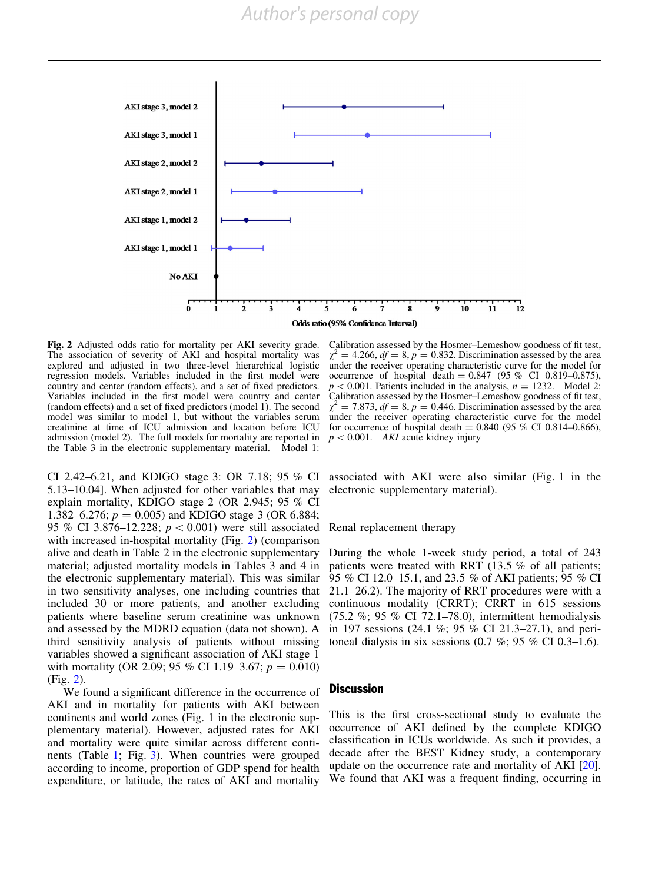

Fig. 2 Adjusted odds ratio for mortality per AKI severity grade. The association of severity of AKI and hospital mortality was explored and adjusted in two three-level hierarchical logistic regression models. Variables included in the first model were country and center (random effects), and a set of fixed predictors. Variables included in the first model were country and center (random effects) and a set of fixed predictors (model 1). The second model was similar to model 1, but without the variables serum creatinine at time of ICU admission and location before ICU admission (model 2). The full models for mortality are reported in the Table 3 in the electronic supplementary material. Model 1:

CI 2.42–6.21, and KDIGO stage 3: OR 7.18; 95 % CI 5.13–10.04]. When adjusted for other variables that may explain mortality, KDIGO stage 2 (OR 2.945; 95 % CI 1.382–6.276;  $p = 0.005$ ) and KDIGO stage 3 (OR 6.884; 95 % CI 3.876–12.228;  $p < 0.001$ ) were still associated with increased in-hospital mortality (Fig. 2) (comparison alive and death in Table 2 in the electronic supplementary material; adjusted mortality models in Tables 3 and 4 in the electronic supplementary material). This was similar in two sensitivity analyses, one including countries that included 30 or more patients, and another excluding patients where baseline serum creatinine was unknown and assessed by the MDRD equation (data not shown). A third sensitivity analysis of patients without missing variables showed a significant association of AKI stage 1 with mortality (OR 2.09; 95 % CI 1.19–3.67;  $p = 0.010$ ) (Fig. 2).

We found a significant difference in the occurrence of AKI and in mortality for patients with AKI between continents and world zones (Fig. 1 in the electronic supplementary material). However, adjusted rates for AKI and mortality were quite similar across different continents (Table [1](#page-6-0); Fig. [3\)](#page-10-0). When countries were grouped according to income, proportion of GDP spend for health expenditure, or latitude, the rates of AKI and mortality

Calibration assessed by the Hosmer–Lemeshow goodness of fit test,  $\chi^2 = 4.266$ ,  $df = 8$ ,  $p = 0.832$ . Discrimination assessed by the area under the receiver operating characteristic curve for the model for occurrence of hospital death =  $0.847$  (95 % CI 0.819–0.875),  $p < 0.001$ . Patients included in the analysis,  $n = 1232$ . Model 2: Calibration assessed by the Hosmer–Lemeshow goodness of fit test,  $\chi^2$  = 7.873,  $df = 8$ ,  $p = 0.446$ . Discrimination assessed by the area under the receiver operating characteristic curve for the model for occurrence of hospital death =  $0.840$  (95 % CI 0.814–0.866),  $p < 0.001$ . AKI acute kidney injury

associated with AKI were also similar (Fig. 1 in the electronic supplementary material).

Renal replacement therapy

During the whole 1-week study period, a total of 243 patients were treated with RRT (13.5 % of all patients; 95 % CI 12.0–15.1, and 23.5 % of AKI patients; 95 % CI 21.1–26.2). The majority of RRT procedures were with a continuous modality (CRRT); CRRT in 615 sessions (75.2 %; 95 % CI 72.1–78.0), intermittent hemodialysis in 197 sessions (24.1 %; 95 % CI 21.3–27.1), and peritoneal dialysis in six sessions  $(0.7 \%; 95 \% \text{ CI } 0.3-1.6)$ .

## **Discussion**

This is the first cross-sectional study to evaluate the occurrence of AKI defined by the complete KDIGO classification in ICUs worldwide. As such it provides, a decade after the BEST Kidney study, a contemporary update on the occurrence rate and mortality of AKI [\[20](#page-13-0)]. We found that AKI was a frequent finding, occurring in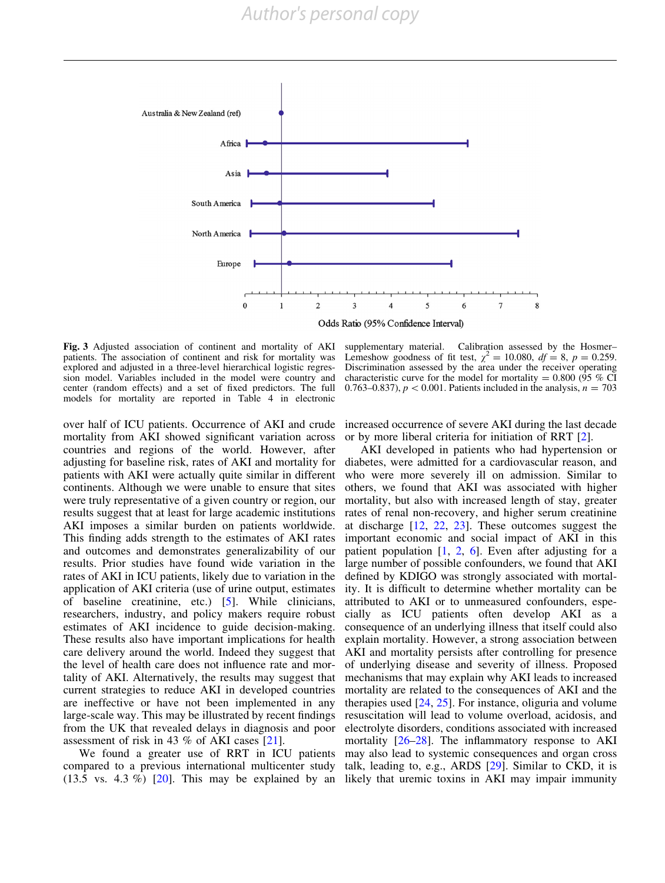<span id="page-10-0"></span>

Fig. 3 Adjusted association of continent and mortality of AKI patients. The association of continent and risk for mortality was explored and adjusted in a three-level hierarchical logistic regression model. Variables included in the model were country and center (random effects) and a set of fixed predictors. The full models for mortality are reported in Table 4 in electronic

supplementary material. Calibration assessed by the Hosmer– Lemeshow goodness of fit test,  $\chi^2 = 10.080$ ,  $df = 8$ ,  $p = 0.259$ . Discrimination assessed by the area under the receiver operating characteristic curve for the model for mortality =  $0.800$  (95 % CI 0.763–0.837),  $p < 0.001$ . Patients included in the analysis,  $n = 703$ 

over half of ICU patients. Occurrence of AKI and crude mortality from AKI showed significant variation across countries and regions of the world. However, after adjusting for baseline risk, rates of AKI and mortality for patients with AKI were actually quite similar in different continents. Although we were unable to ensure that sites were truly representative of a given country or region, our results suggest that at least for large academic institutions AKI imposes a similar burden on patients worldwide. This finding adds strength to the estimates of AKI rates and outcomes and demonstrates generalizability of our results. Prior studies have found wide variation in the rates of AKI in ICU patients, likely due to variation in the application of AKI criteria (use of urine output, estimates of baseline creatinine, etc.) [\[5\]](#page-12-0). While clinicians, researchers, industry, and policy makers require robust estimates of AKI incidence to guide decision-making. These results also have important implications for health care delivery around the world. Indeed they suggest that the level of health care does not influence rate and mortality of AKI. Alternatively, the results may suggest that current strategies to reduce AKI in developed countries are ineffective or have not been implemented in any large-scale way. This may be illustrated by recent findings from the UK that revealed delays in diagnosis and poor assessment of risk in 43 % of AKI cases [[21](#page-13-0)].

We found a greater use of RRT in ICU patients compared to a previous international multicenter study  $(13.5 \text{ vs. } 4.3 \%)$  [\[20\]](#page-13-0). This may be explained by an

increased occurrence of severe AKI during the last decade or by more liberal criteria for initiation of RRT [\[2\]](#page-12-0).

AKI developed in patients who had hypertension or diabetes, were admitted for a cardiovascular reason, and who were more severely ill on admission. Similar to others, we found that AKI was associated with higher mortality, but also with increased length of stay, greater rates of renal non-recovery, and higher serum creatinine at discharge [\[12,](#page-13-0) [22,](#page-13-0) [23](#page-13-0)]. These outcomes suggest the important economic and social impact of AKI in this patient population  $[1, 2, 6]$  $[1, 2, 6]$  $[1, 2, 6]$  $[1, 2, 6]$  $[1, 2, 6]$  $[1, 2, 6]$  $[1, 2, 6]$ . Even after adjusting for a large number of possible confounders, we found that AKI defined by KDIGO was strongly associated with mortality. It is difficult to determine whether mortality can be attributed to AKI or to unmeasured confounders, especially as ICU patients often develop AKI as a consequence of an underlying illness that itself could also explain mortality. However, a strong association between AKI and mortality persists after controlling for presence of underlying disease and severity of illness. Proposed mechanisms that may explain why AKI leads to increased mortality are related to the consequences of AKI and the therapies used [\[24,](#page-13-0) [25\]](#page-13-0). For instance, oliguria and volume resuscitation will lead to volume overload, acidosis, and electrolyte disorders, conditions associated with increased mortality  $[26-28]$ . The inflammatory response to AKI may also lead to systemic consequences and organ cross talk, leading to, e.g., ARDS [[29](#page-13-0)]. Similar to CKD, it is likely that uremic toxins in AKI may impair immunity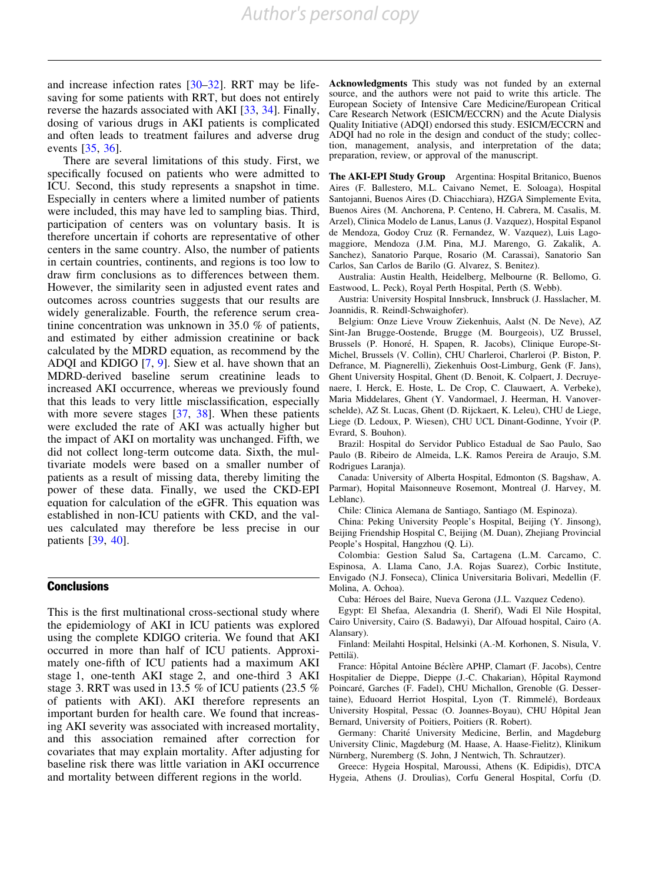and increase infection rates [\[30–32\]](#page-13-0). RRT may be lifesaving for some patients with RRT, but does not entirely reverse the hazards associated with AKI [[33](#page-13-0), [34\]](#page-13-0). Finally, dosing of various drugs in AKI patients is complicated and often leads to treatment failures and adverse drug events [\[35,](#page-13-0) [36](#page-13-0)].

There are several limitations of this study. First, we specifically focused on patients who were admitted to ICU. Second, this study represents a snapshot in time. Especially in centers where a limited number of patients were included, this may have led to sampling bias. Third, participation of centers was on voluntary basis. It is therefore uncertain if cohorts are representative of other centers in the same country. Also, the number of patients in certain countries, continents, and regions is too low to draw firm conclusions as to differences between them. However, the similarity seen in adjusted event rates and outcomes across countries suggests that our results are widely generalizable. Fourth, the reference serum creatinine concentration was unknown in 35.0 % of patients, and estimated by either admission creatinine or back calculated by the MDRD equation, as recommend by the ADQI and KDIGO [\[7](#page-12-0), [9](#page-13-0)]. Siew et al. have shown that an MDRD-derived baseline serum creatinine leads to increased AKI occurrence, whereas we previously found that this leads to very little misclassification, especially with more severe stages [[37](#page-13-0), [38](#page-14-0)]. When these patients were excluded the rate of AKI was actually higher but the impact of AKI on mortality was unchanged. Fifth, we did not collect long-term outcome data. Sixth, the multivariate models were based on a smaller number of patients as a result of missing data, thereby limiting the power of these data. Finally, we used the CKD-EPI equation for calculation of the eGFR. This equation was established in non-ICU patients with CKD, and the values calculated may therefore be less precise in our patients [[39,](#page-14-0) [40\]](#page-14-0).

## **Conclusions**

This is the first multinational cross-sectional study where the epidemiology of AKI in ICU patients was explored using the complete KDIGO criteria. We found that AKI occurred in more than half of ICU patients. Approximately one-fifth of ICU patients had a maximum AKI stage 1, one-tenth AKI stage 2, and one-third 3 AKI stage 3. RRT was used in 13.5 % of ICU patients (23.5 % of patients with AKI). AKI therefore represents an important burden for health care. We found that increasing AKI severity was associated with increased mortality, and this association remained after correction for covariates that may explain mortality. After adjusting for baseline risk there was little variation in AKI occurrence and mortality between different regions in the world.

Acknowledgments This study was not funded by an external source, and the authors were not paid to write this article. The European Society of Intensive Care Medicine/European Critical Care Research Network (ESICM/ECCRN) and the Acute Dialysis Quality Initiative (ADQI) endorsed this study. ESICM/ECCRN and ADQI had no role in the design and conduct of the study; collection, management, analysis, and interpretation of the data; preparation, review, or approval of the manuscript.

The AKI-EPI Study Group Argentina: Hospital Britanico, Buenos Aires (F. Ballestero, M.L. Caivano Nemet, E. Soloaga), Hospital Santojanni, Buenos Aires (D. Chiacchiara), HZGA Simplemente Evita, Buenos Aires (M. Anchorena, P. Centeno, H. Cabrera, M. Casalis, M. Arzel), Clinica Modelo de Lanus, Lanus (J. Vazquez), Hospital Espanol de Mendoza, Godoy Cruz (R. Fernandez, W. Vazquez), Luis Lagomaggiore, Mendoza (J.M. Pina, M.J. Marengo, G. Zakalik, A. Sanchez), Sanatorio Parque, Rosario (M. Carassai), Sanatorio San Carlos, San Carlos de Barilo (G. Alvarez, S. Benitez).

Australia: Austin Health, Heidelberg, Melbourne (R. Bellomo, G. Eastwood, L. Peck), Royal Perth Hospital, Perth (S. Webb).

Austria: University Hospital Innsbruck, Innsbruck (J. Hasslacher, M. Joannidis, R. Reindl-Schwaighofer).

Belgium: Onze Lieve Vrouw Ziekenhuis, Aalst (N. De Neve), AZ Sint-Jan Brugge-Oostende, Brugge (M. Bourgeois), UZ Brussel, Brussels (P. Honoré, H. Spapen, R. Jacobs), Clinique Europe-St-Michel, Brussels (V. Collin), CHU Charleroi, Charleroi (P. Biston, P. Defrance, M. Piagnerelli), Ziekenhuis Oost-Limburg, Genk (F. Jans), Ghent University Hospital, Ghent (D. Benoit, K. Colpaert, J. Decruyenaere, I. Herck, E. Hoste, L. De Crop, C. Clauwaert, A. Verbeke), Maria Middelares, Ghent (Y. Vandormael, J. Heerman, H. Vanoverschelde), AZ St. Lucas, Ghent (D. Rijckaert, K. Leleu), CHU de Liege, Liege (D. Ledoux, P. Wiesen), CHU UCL Dinant-Godinne, Yvoir (P. Evrard, S. Bouhon).

Brazil: Hospital do Servidor Publico Estadual de Sao Paulo, Sao Paulo (B. Ribeiro de Almeida, L.K. Ramos Pereira de Araujo, S.M. Rodrigues Laranja).

Canada: University of Alberta Hospital, Edmonton (S. Bagshaw, A. Parmar), Hopital Maisonneuve Rosemont, Montreal (J. Harvey, M. Leblanc).

Chile: Clinica Alemana de Santiago, Santiago (M. Espinoza).

China: Peking University People's Hospital, Beijing (Y. Jinsong), Beijing Friendship Hospital C, Beijing (M. Duan), Zhejiang Provincial People's Hospital, Hangzhou (Q. Li).

Colombia: Gestion Salud Sa, Cartagena (L.M. Carcamo, C. Espinosa, A. Llama Cano, J.A. Rojas Suarez), Corbic Institute, Envigado (N.J. Fonseca), Clinica Universitaria Bolivari, Medellin (F. Molina, A. Ochoa).

Cuba: Héroes del Baire, Nueva Gerona (J.L. Vazquez Cedeno).

Egypt: El Shefaa, Alexandria (I. Sherif), Wadi El Nile Hospital, Cairo University, Cairo (S. Badawyi), Dar Alfouad hospital, Cairo (A. Alansary).

Finland: Meilahti Hospital, Helsinki (A.-M. Korhonen, S. Nisula, V. Pettilä).

France: Hôpital Antoine Béclère APHP, Clamart (F. Jacobs), Centre Hospitalier de Dieppe, Dieppe (J.-C. Chakarian), Hôpital Raymond Poincaré, Garches (F. Fadel), CHU Michallon, Grenoble (G. Dessertaine), Eduoard Herriot Hospital, Lyon (T. Rimmelé), Bordeaux University Hospital, Pessac (O. Joannes-Boyau), CHU Hôpital Jean Bernard, University of Poitiers, Poitiers (R. Robert).

Germany: Charité University Medicine, Berlin, and Magdeburg University Clinic, Magdeburg (M. Haase, A. Haase-Fielitz), Klinikum Nürnberg, Nuremberg (S. John, J Nentwich, Th. Schrautzer).

Greece: Hygeia Hospital, Maroussi, Athens (K. Edipidis), DTCA Hygeia, Athens (J. Droulias), Corfu General Hospital, Corfu (D.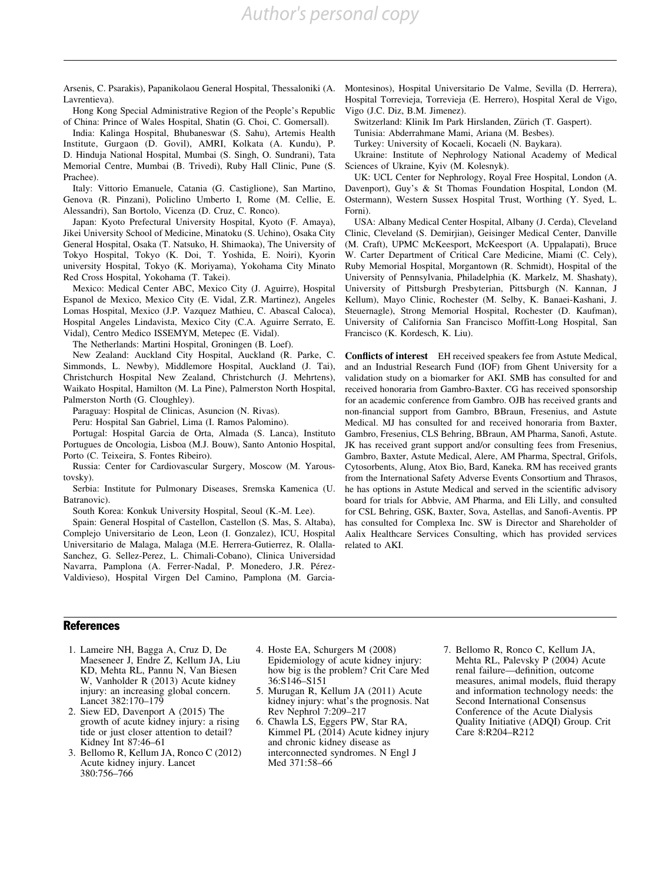*Author's personal copy*

<span id="page-12-0"></span>Arsenis, C. Psarakis), Papanikolaou General Hospital, Thessaloniki (A. Lavrentieva).

Hong Kong Special Administrative Region of the People's Republic of China: Prince of Wales Hospital, Shatin (G. Choi, C. Gomersall).

India: Kalinga Hospital, Bhubaneswar (S. Sahu), Artemis Health Institute, Gurgaon (D. Govil), AMRI, Kolkata (A. Kundu), P. D. Hinduja National Hospital, Mumbai (S. Singh, O. Sundrani), Tata Memorial Centre, Mumbai (B. Trivedi), Ruby Hall Clinic, Pune (S. Prachee).

Italy: Vittorio Emanuele, Catania (G. Castiglione), San Martino, Genova (R. Pinzani), Policlino Umberto I, Rome (M. Cellie, E. Alessandri), San Bortolo, Vicenza (D. Cruz, C. Ronco).

Japan: Kyoto Prefectural University Hospital, Kyoto (F. Amaya), Jikei University School of Medicine, Minatoku (S. Uchino), Osaka City General Hospital, Osaka (T. Natsuko, H. Shimaoka), The University of Tokyo Hospital, Tokyo (K. Doi, T. Yoshida, E. Noiri), Kyorin university Hospital, Tokyo (K. Moriyama), Yokohama City Minato Red Cross Hospital, Yokohama (T. Takei).

Mexico: Medical Center ABC, Mexico City (J. Aguirre), Hospital Espanol de Mexico, Mexico City (E. Vidal, Z.R. Martinez), Angeles Lomas Hospital, Mexico (J.P. Vazquez Mathieu, C. Abascal Caloca), Hospital Angeles Lindavista, Mexico City (C.A. Aguirre Serrato, E. Vidal), Centro Medico ISSEMYM, Metepec (E. Vidal).

The Netherlands: Martini Hospital, Groningen (B. Loef).

New Zealand: Auckland City Hospital, Auckland (R. Parke, C. Simmonds, L. Newby), Middlemore Hospital, Auckland (J. Tai), Christchurch Hospital New Zealand, Christchurch (J. Mehrtens), Waikato Hospital, Hamilton (M. La Pine), Palmerston North Hospital, Palmerston North (G. Cloughley).

Paraguay: Hospital de Clinicas, Asuncion (N. Rivas).

Peru: Hospital San Gabriel, Lima (I. Ramos Palomino).

Portugal: Hospital Garcia de Orta, Almada (S. Lanca), Instituto Portugues de Oncologia, Lisboa (M.J. Bouw), Santo Antonio Hospital, Porto (C. Teixeira, S. Fontes Ribeiro).

Russia: Center for Cardiovascular Surgery, Moscow (M. Yaroustovsky).

Serbia: Institute for Pulmonary Diseases, Sremska Kamenica (U. Batranovic).

South Korea: Konkuk University Hospital, Seoul (K.-M. Lee).

Spain: General Hospital of Castellon, Castellon (S. Mas, S. Altaba), Complejo Universitario de Leon, Leon (I. Gonzalez), ICU, Hospital Universitario de Malaga, Malaga (M.E. Herrera-Gutierrez, R. Olalla-Sanchez, G. Sellez-Perez, L. Chimali-Cobano), Clinica Universidad Navarra, Pamplona (A. Ferrer-Nadal, P. Monedero, J.R. Pérez-Valdivieso), Hospital Virgen Del Camino, Pamplona (M. GarciaMontesinos), Hospital Universitario De Valme, Sevilla (D. Herrera), Hospital Torrevieja, Torrevieja (E. Herrero), Hospital Xeral de Vigo, Vigo (J.C. Diz, B.M. Jimenez).

Switzerland: Klinik Im Park Hirslanden, Zürich (T. Gaspert).

Tunisia: Abderrahmane Mami, Ariana (M. Besbes).

Turkey: University of Kocaeli, Kocaeli (N. Baykara).

Ukraine: Institute of Nephrology National Academy of Medical Sciences of Ukraine, Kyiv (M. Kolesnyk).

UK: UCL Center for Nephrology, Royal Free Hospital, London (A. Davenport), Guy's & St Thomas Foundation Hospital, London (M. Ostermann), Western Sussex Hospital Trust, Worthing (Y. Syed, L. Forni).

USA: Albany Medical Center Hospital, Albany (J. Cerda), Cleveland Clinic, Cleveland (S. Demirjian), Geisinger Medical Center, Danville (M. Craft), UPMC McKeesport, McKeesport (A. Uppalapati), Bruce W. Carter Department of Critical Care Medicine, Miami (C. Cely), Ruby Memorial Hospital, Morgantown (R. Schmidt), Hospital of the University of Pennsylvania, Philadelphia (K. Markelz, M. Shashaty), University of Pittsburgh Presbyterian, Pittsburgh (N. Kannan, J Kellum), Mayo Clinic, Rochester (M. Selby, K. Banaei-Kashani, J. Steuernagle), Strong Memorial Hospital, Rochester (D. Kaufman), University of California San Francisco Moffitt-Long Hospital, San Francisco (K. Kordesch, K. Liu).

Conflicts of interest EH received speakers fee from Astute Medical, and an Industrial Research Fund (IOF) from Ghent University for a validation study on a biomarker for AKI. SMB has consulted for and received honoraria from Gambro-Baxter. CG has received sponsorship for an academic conference from Gambro. OJB has received grants and non-financial support from Gambro, BBraun, Fresenius, and Astute Medical. MJ has consulted for and received honoraria from Baxter, Gambro, Fresenius, CLS Behring, BBraun, AM Pharma, Sanofi, Astute. JK has received grant support and/or consulting fees from Fresenius, Gambro, Baxter, Astute Medical, Alere, AM Pharma, Spectral, Grifols, Cytosorbents, Alung, Atox Bio, Bard, Kaneka. RM has received grants from the International Safety Adverse Events Consortium and Thrasos, he has options in Astute Medical and served in the scientific advisory board for trials for Abbvie, AM Pharma, and Eli Lilly, and consulted for CSL Behring, GSK, Baxter, Sova, Astellas, and Sanofi-Aventis. PP has consulted for Complexa Inc. SW is Director and Shareholder of Aalix Healthcare Services Consulting, which has provided services related to AKI.

# References

- 1. Lameire NH, Bagga A, Cruz D, De Maeseneer J, Endre Z, Kellum JA, Liu KD, Mehta RL, Pannu N, Van Biesen W, Vanholder R (2013) Acute kidney injury: an increasing global concern. Lancet 382:170–179
- 2. Siew ED, Davenport A (2015) The growth of acute kidney injury: a rising tide or just closer attention to detail? Kidney Int 87:46–61
- 3. Bellomo R, Kellum JA, Ronco C (2012) Acute kidney injury. Lancet 380:756–766
- 4. Hoste EA, Schurgers M (2008) Epidemiology of acute kidney injury: how big is the problem? Crit Care Med 36:S146–S151
- 5. Murugan R, Kellum JA (2011) Acute kidney injury: what's the prognosis. Nat Rev Nephrol 7:209–217
- 6. Chawla LS, Eggers PW, Star RA, Kimmel PL (2014) Acute kidney injury and chronic kidney disease as interconnected syndromes. N Engl J Med 371:58–66
- 7. Bellomo R, Ronco C, Kellum JA, Mehta RL, Palevsky P (2004) Acute renal failure—definition, outcome measures, animal models, fluid therapy and information technology needs: the Second International Consensus Conference of the Acute Dialysis Quality Initiative (ADQI) Group. Crit Care 8:R204–R212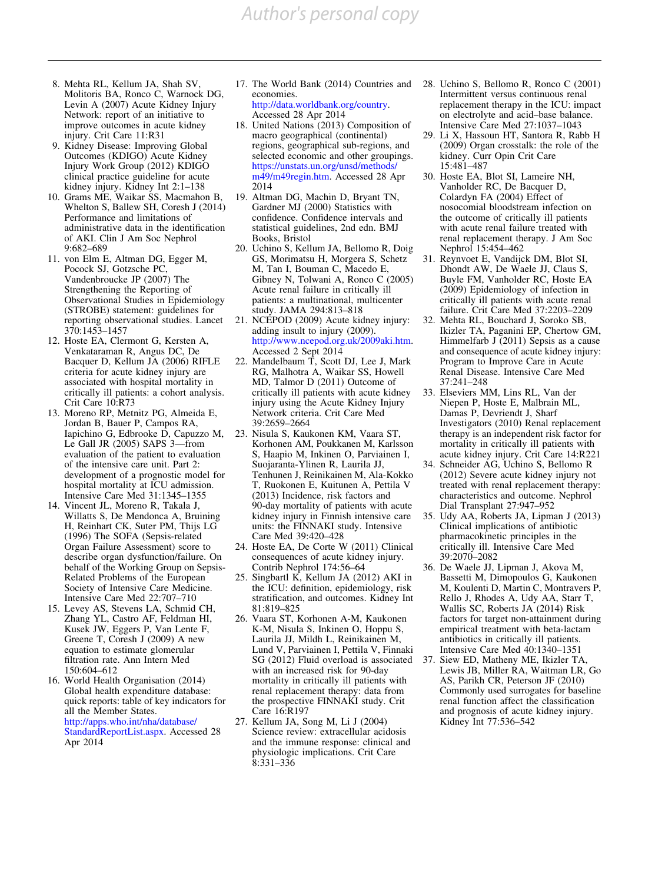*Author's personal copy*

- <span id="page-13-0"></span>8. Mehta RL, Kellum JA, Shah SV, Molitoris BA, Ronco C, Warnock DG, Levin A (2007) Acute Kidney Injury Network: report of an initiative to improve outcomes in acute kidney injury. Crit Care 11:R31
- 9. Kidney Disease: Improving Global Outcomes (KDIGO) Acute Kidney Injury Work Group (2012) KDIGO clinical practice guideline for acute kidney injury. Kidney Int 2:1–138
- 10. Grams ME, Waikar SS, Macmahon B, Whelton S, Ballew SH, Coresh J (2014) Performance and limitations of administrative data in the identification of AKI. Clin J Am Soc Nephrol 9:682–689
- 11. von Elm E, Altman DG, Egger M, Pocock SJ, Gotzsche PC, Vandenbroucke JP (2007) The Strengthening the Reporting of Observational Studies in Epidemiology (STROBE) statement: guidelines for reporting observational studies. Lancet 370:1453–1457
- 12. Hoste EA, Clermont G, Kersten A, Venkataraman R, Angus DC, De Bacquer D, Kellum JA (2006) RIFLE criteria for acute kidney injury are associated with hospital mortality in critically ill patients: a cohort analysis. Crit Care 10:R73
- 13. Moreno RP, Metnitz PG, Almeida E, Jordan B, Bauer P, Campos RA, Iapichino G, Edbrooke D, Capuzzo M, Le Gall JR (2005) SAPS 3—from evaluation of the patient to evaluation of the intensive care unit. Part 2: development of a prognostic model for hospital mortality at ICU admission. Intensive Care Med 31:1345–1355
- 14. Vincent JL, Moreno R, Takala J, Willatts S, De Mendonca A, Bruining H, Reinhart CK, Suter PM, Thijs LG (1996) The SOFA (Sepsis-related Organ Failure Assessment) score to describe organ dysfunction/failure. On behalf of the Working Group on Sepsis-Related Problems of the European Society of Intensive Care Medicine. Intensive Care Med 22:707–710
- 15. Levey AS, Stevens LA, Schmid CH, Zhang YL, Castro AF, Feldman HI, Kusek JW, Eggers P, Van Lente F, Greene T, Coresh J (2009) A new equation to estimate glomerular filtration rate. Ann Intern Med 150:604–612
- 16. World Health Organisation (2014) Global health expenditure database: quick reports: table of key indicators for all the Member States. [http://apps.who.int/nha/database/](http://apps.who.int/nha/database/StandardReportList.aspx) [StandardReportList.aspx.](http://apps.who.int/nha/database/StandardReportList.aspx) Accessed 28 Apr 2014

17. The World Bank (2014) Countries and economies. <http://data.worldbank.org/country>.

Accessed 28 Apr 2014

- 18. United Nations (2013) Composition of macro geographical (continental) regions, geographical sub-regions, and selected economic and other groupings. [https://unstats.un.org/unsd/methods/](https://unstats.un.org/unsd/methods/m49/m49regin.htm) [m49/m49regin.htm](https://unstats.un.org/unsd/methods/m49/m49regin.htm). Accessed 28 Apr 2014
- 19. Altman DG, Machin D, Bryant TN, Gardner MJ (2000) Statistics with confidence. Confidence intervals and statistical guidelines, 2nd edn. BMJ Books, Bristol
- 20. Uchino S, Kellum JA, Bellomo R, Doig GS, Morimatsu H, Morgera S, Schetz M, Tan I, Bouman C, Macedo E, Gibney N, Tolwani A, Ronco C (2005) Acute renal failure in critically ill patients: a multinational, multicenter study. JAMA 294:813–818
- 21. NCEPOD (2009) Acute kidney injury: adding insult to injury (2009). <http://www.ncepod.org.uk/2009aki.htm>. Accessed 2 Sept 2014
- 22. Mandelbaum T, Scott DJ, Lee J, Mark RG, Malhotra A, Waikar SS, Howell MD, Talmor D (2011) Outcome of critically ill patients with acute kidney injury using the Acute Kidney Injury Network criteria. Crit Care Med 39:2659–2664
- 23. Nisula S, Kaukonen KM, Vaara ST, Korhonen AM, Poukkanen M, Karlsson S, Haapio M, Inkinen O, Parviainen I, Suojaranta-Ylinen R, Laurila JJ, Tenhunen J, Reinikainen M, Ala-Kokko T, Ruokonen E, Kuitunen A, Pettila V (2013) Incidence, risk factors and 90-day mortality of patients with acute kidney injury in Finnish intensive care units: the FINNAKI study. Intensive Care Med 39:420–428
- 24. Hoste EA, De Corte W (2011) Clinical consequences of acute kidney injury. Contrib Nephrol 174:56–64
- 25. Singbartl K, Kellum JA (2012) AKI in the ICU: definition, epidemiology, risk stratification, and outcomes. Kidney Int 81:819–825
- 26. Vaara ST, Korhonen A-M, Kaukonen K-M, Nisula S, Inkinen O, Hoppu S, Laurila JJ, Mildh L, Reinikainen M, Lund V, Parviainen I, Pettila V, Finnaki SG (2012) Fluid overload is associated with an increased risk for 90-day mortality in critically ill patients with renal replacement therapy: data from the prospective FINNAKI study. Crit Care 16:R197
- 27. Kellum JA, Song M, Li J (2004) Science review: extracellular acidosis and the immune response: clinical and physiologic implications. Crit Care  $8:331 - 336$
- 28. Uchino S, Bellomo R, Ronco C (2001) Intermittent versus continuous renal replacement therapy in the ICU: impact on electrolyte and acid–base balance. Intensive Care Med 27:1037–1043
- 29. Li X, Hassoun HT, Santora R, Rabb H (2009) Organ crosstalk: the role of the kidney. Curr Opin Crit Care 15:481–487
- 30. Hoste EA, Blot SI, Lameire NH, Vanholder RC, De Bacquer D, Colardyn FA (2004) Effect of nosocomial bloodstream infection on the outcome of critically ill patients with acute renal failure treated with renal replacement therapy. J Am Soc Nephrol 15:454–462
- 31. Reynvoet E, Vandijck DM, Blot SI, Dhondt AW, De Waele JJ, Claus S, Buyle FM, Vanholder RC, Hoste EA (2009) Epidemiology of infection in critically ill patients with acute renal failure. Crit Care Med 37:2203–2209
- 32. Mehta RL, Bouchard J, Soroko SB, Ikizler TA, Paganini EP, Chertow GM, Himmelfarb J (2011) Sepsis as a cause and consequence of acute kidney injury: Program to Improve Care in Acute Renal Disease. Intensive Care Med 37:241–248
- 33. Elseviers MM, Lins RL, Van der Niepen P, Hoste E, Malbrain ML, Damas P, Devriendt J, Sharf Investigators (2010) Renal replacement therapy is an independent risk factor for mortality in critically ill patients with acute kidney injury. Crit Care 14:R221
- 34. Schneider AG, Uchino S, Bellomo R (2012) Severe acute kidney injury not treated with renal replacement therapy: characteristics and outcome. Nephrol Dial Transplant 27:947–952
- 35. Udy AA, Roberts JA, Lipman J (2013) Clinical implications of antibiotic pharmacokinetic principles in the critically ill. Intensive Care Med 39:2070–2082
- 36. De Waele JJ, Lipman J, Akova M, Bassetti M, Dimopoulos G, Kaukonen M, Koulenti D, Martin C, Montravers P, Rello J, Rhodes A, Udy AA, Starr T, Wallis SC, Roberts JA (2014) Risk factors for target non-attainment during empirical treatment with beta-lactam antibiotics in critically ill patients. Intensive Care Med 40:1340–1351
- 37. Siew ED, Matheny ME, Ikizler TA, Lewis JB, Miller RA, Waitman LR, Go AS, Parikh CR, Peterson JF (2010) Commonly used surrogates for baseline renal function affect the classification and prognosis of acute kidney injury. Kidney Int 77:536–542